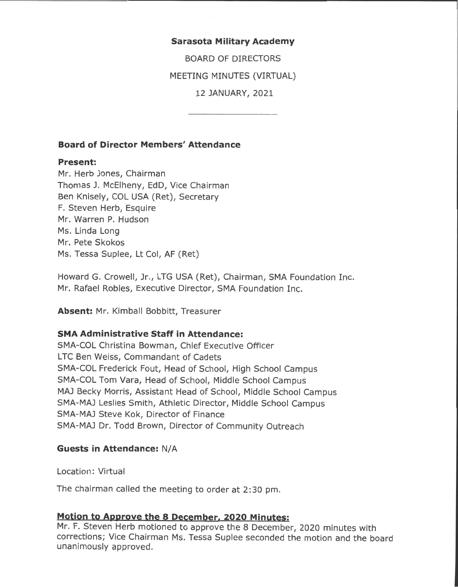#### **Sarasota Military Academy**

BOARD OF DIRECTORS

MEETING MINUTES (VIRTUAL)

12 JANUARY, 2021

### **Board of Director Members' Attendance**

### **Present:**

Mr. Herb Jones, Chairman Thomas J. McElheny, EdD, Vice Chairman Ben Knisely, COL USA (Ret), Secretary F. Steven Herb, Esquire Mr. Warren P. Hudson Ms. Linda Long Mr. Pete Skokos Ms. Tessa Suplee, Lt Col, AF (Ret)

Howard G. Crowell, Jr., LTG USA (Ret), Chairman, SMA Foundation Inc. Mr. Rafael Robles, Executive Director, SMA Foundation Inc.

**Absent:** Mr. Kimball Bobbitt, Treasurer

# **SMA Administrative Staff in Attendance:**

SMA-COL Christina Bowman, Chief Executive Officer LTC Ben Weiss, Commandant of Cadets SMA-COL Frederick Fout, Head of School, High School Campus SMA-COL Tom Vara, Head of School, Middle School Campus MAJ Becky Morris, Assistant Head of School, Middle School Campus SMA-MAJ Leslies Smith, Athletic Director, Middle School Campus SMA-MAJ Steve Kok, Director of Finance SMA-MAJ Dr. Todd Brown, Director of Community Outreach

#### **Guests in Attendance:** N/A

Location: Virtual

The chairman called the meeting to order at 2: 30 pm.

# **Motion to Approve the s December. 2020 Minutes:**

Mr. F. Steven Herb motioned to approve the 8 December, 2020 minutes with corrections; Vice Chairman Ms. Tessa Suplee seconded the motion and the board unanimously approved.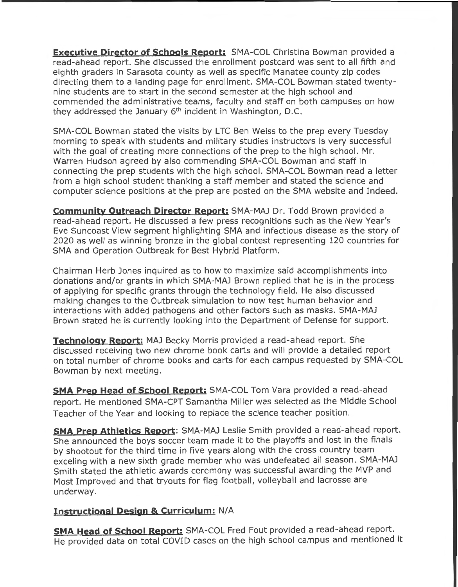**Executive Director of Schools Report:** SMA-COL Christina Bowman provided a read-ahead report. She discussed the enrollment postcard was sent to all fifth and eighth graders in Sarasota county as well as specific Manatee county zip codes directing them to a landing page for enrollment. SMA-COL Bowman stated twentynine students are to start in the second semester at the high school and commended the administrative teams, faculty and staff on both campuses on how they addressed the January  $6<sup>th</sup>$  incident in Washington, D.C.

SMA-COL Bowman stated the visits by LTC Ben Weiss to the prep every Tuesday morning to speak with students and military studies instructors is very successful with the goal of creating more connections of the prep to the high school. Mr. Warren Hudson agreed by also commending SMA-COL Bowman and staff in connecting the prep students with the high school. SMA-COL Bowman read a letter from a high school student thanking a staff member and stated the science and computer science positions at the prep are posted on the SMA website and Indeed.

**Community Outreach Director Report:** SMA-MAJ Dr. Todd Brown provided a read-ahead report. He discussed a few press recognitions such as the New Year's Eve Suncoast View segment highlighting SMA and infectious disease as the story of 2020 as well as winning bronze in the global contest representing 120 countries for SMA and Operation Outbreak for Best Hybrid Platform.

Chairman Herb Jones inquired as to how to maximize said accomplishments into donations and/or grants in which SMA-MAJ Brown replied that he is in the process of applying for specific grants through the technology field. He also discussed making changes to the Outbreak simulation to now test human behavior and interactions with added pathogens and other factors such as masks. SMA-MAJ Brown stated he is currently looking into the Department of Defense for support.

**Technology Report:** MAJ Becky Morris provided a read-ahead report. She discussed receiving two new chrome book carts and will provide a detailed report on total number of chrome books and carts for each campus requested by SMA-COL Bowman by next meeting.

**SMA Prep Head of School Report:** SMA-COL Tom Vara provided a read-ahead report. He mentioned SMA-CPT Samantha Miller was selected as the Middle School Teacher of the Year and looking to replace the science teacher position.

**SMA Prep Athletics Report:** SMA-MAJ Leslie Smith provided a read-ahead report. She announced the boys soccer team made it to the playoffs and lost in the finals by shootout for the third time in five years along with the cross country team exceling with a new sixth grade member who was undefeated all season. SMA-MAJ Smith stated the athletic awards ceremony was successful awarding the MVP and Most Improved and that tryouts for flag football, volleyball and lacrosse are underway.

# **Instructional Design & Curriculum:** N/A

**SMA Head of School Report:** SMA-COL Fred Fout provided a read-ahead report. He provided data on total COVID cases on the high school campus and mentioned it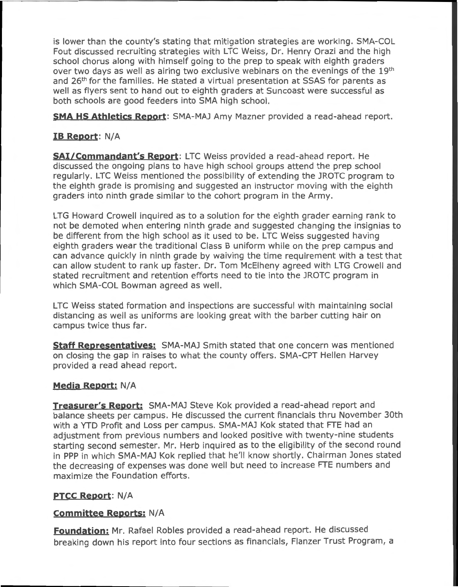is lower than the county's stating that mitigation strategies are working. SMA-COL Fout discussed recruiting strategies with LTC Weiss, Dr. Henry Orazi and the high school chorus along with himself going to the prep to speak with eighth graders over two days as well as airing two exclusive webinars on the evenings of the 19th and 26<sup>th</sup> for the families. He stated a virtual presentation at SSAS for parents as well as flyers sent to hand out to eighth graders at Suncoast were successful as both schools are good feeders into SMA high school.

**SMA HS Athletics Report:** SMA-MAJ Amy Mazner provided a read-ahead report.

# **1B Report:** N/A

**SAi/Commandant's Report:** LTC Weiss provided a read-ahead report. He discussed the ongoing plans to have high school groups attend the prep school regularly. LTC Weiss mentioned the possibility of extending the JROTC program to the eighth grade is promising and suggested an instructor moving with the eighth graders into ninth grade similar to the cohort program in the Army.

LTG Howard Crowell inquired as to a solution for the eighth grader earning rank to not be demoted when entering ninth grade and suggested changing the insignias to be different from the high school as it used to be. LTC Weiss suggested having eighth graders wear the traditional Class B uniform while on the prep campus and can advance quickly in ninth grade by waiving the time requirement with a test that can allow student to rank up faster. Dr. Tom McElheny agreed with LTG Crowell and stated recruitment and retention efforts need to tie into the JROTC program in which SMA-COL Bowman agreed as well.

LTC Weiss stated formation and inspections are successful with maintaining social distancing as well as uniforms are looking great with the barber cutting hair on campus twice thus far.

**Staff Representatives:** SMA-MAJ Smith stated that one concern was mentioned on closing the gap in raises to what the county offers. SMA-CPT Hellen Harvey provided a read ahead report.

## **Media Report: N/A**

**Treasurer's Report:** SMA-MAJ Steve Kok provided a read-ahead report and balance sheets per campus. He discussed the current financials thru November 30th with a YTD Profit and Loss per campus. SMA-MAJ Kok stated that FTE had an adjustment from previous numbers and looked positive with twenty-nine students starting second semester. Mr. Herb inquired as to the eligibility of the second round in PPP in which SMA-MAJ Kok replied that he'll know shortly. Chairman Jones stated the decreasing of expenses was done well but need to increase FTE numbers and maximize the Foundation efforts.

## **PTCC Report:** N/A

## **Committee Reports: N/A**

**Foundation:** Mr. Rafael Robles provided a read-ahead report. He discussed breaking down his report into four sections as financials, Flanzer Trust Program, a